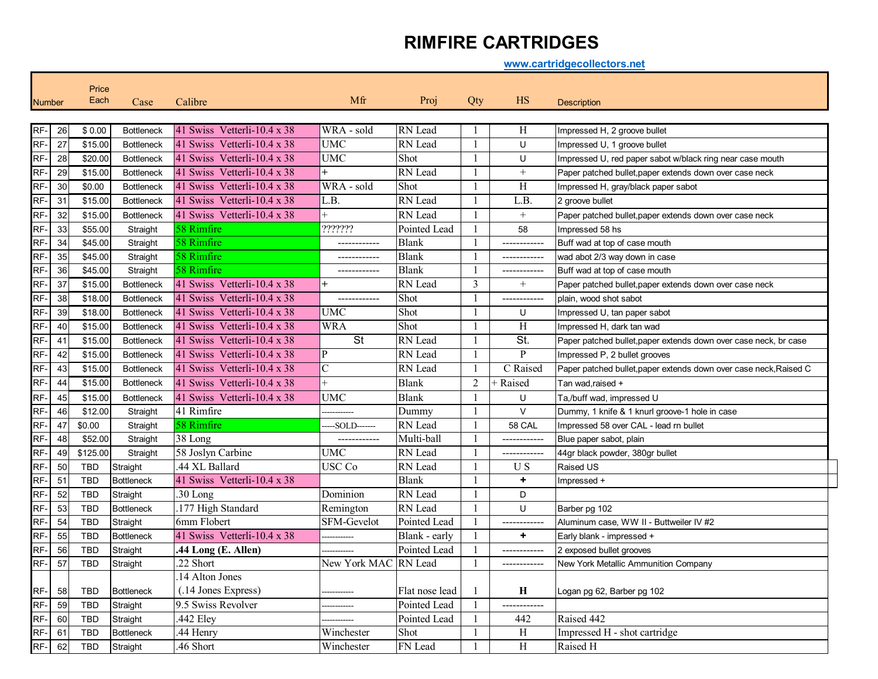## **RIMFIRE CARTRIDGES**

**www.cartridgecollectors.net**

| <b>Number</b> |                 | Price<br>Each | Case              | Calibre                            | Mfr                  | Proj           | Qty            | <b>HS</b>                | <b>Description</b>                                                |
|---------------|-----------------|---------------|-------------------|------------------------------------|----------------------|----------------|----------------|--------------------------|-------------------------------------------------------------------|
|               |                 |               |                   | 41 Swiss Vetterli-10.4 $\times$ 38 | WRA - sold           |                |                |                          |                                                                   |
| RF-           | 26              | \$0.00        | <b>Bottleneck</b> |                                    | <b>UMC</b>           | RN Lead        | $\mathbf{1}$   | Н                        | Impressed H, 2 groove bullet                                      |
| RF-           | $\overline{27}$ | \$15.00       | <b>Bottleneck</b> | 41 Swiss Vetterli-10.4 x 38        | <b>UMC</b>           | RN Lead        | $\overline{1}$ | U                        | Impressed U, 1 groove bullet                                      |
| RF-           | 28              | \$20.00       | <b>Bottleneck</b> | 41 Swiss Vetterli-10.4 x 38        | $+$                  | Shot           |                | U                        | Impressed U, red paper sabot w/black ring near case mouth         |
| RF-           | 29              | \$15.00       | <b>Bottleneck</b> | 41 Swiss Vetterli-10.4 x 38        |                      | RN Lead        | $\mathbf{1}$   | $+$                      | Paper patched bullet, paper extends down over case neck           |
| RF-           | 30              | \$0.00        | <b>Bottleneck</b> | 41 Swiss Vetterli-10.4 x 38        | WRA - sold           | Shot           |                | $\mathbf H$              | Impressed H, gray/black paper sabot                               |
| RF-           | 31              | \$15.00       | <b>Bottleneck</b> | 41 Swiss Vetterli-10.4 x 38        | L.B.                 | RN Lead        | $\overline{1}$ | L.B.                     | 2 aroove bullet                                                   |
| RF-           | 32              | \$15.00       | <b>Bottleneck</b> | 41 Swiss Vetterli-10.4 x 38        |                      | RN Lead        | $\overline{1}$ |                          | Paper patched bullet, paper extends down over case neck           |
| RF-           | 33              | \$55.00       | Straight          | 58 Rimfire                         | ???????              | Pointed Lead   | $\mathbf{1}$   | 58                       | Impressed 58 hs                                                   |
| RF-           | 34              | \$45.00       | Straight          | 58 Rimfire                         |                      | <b>Blank</b>   | $\overline{1}$ | ------------             | Buff wad at top of case mouth                                     |
| RF-           | 35              | \$45.00       | Straight          | 58 Rimfire                         | ------------         | <b>Blank</b>   | $\overline{1}$ | ------------             | wad abot 2/3 way down in case                                     |
| RF-           | 36              | \$45.00       | Straight          | 58 Rimfire                         | ------------         | <b>Blank</b>   | 1              | ------------             | Buff wad at top of case mouth                                     |
| RF-           | 37              | \$15.00       | <b>Bottleneck</b> | 41 Swiss Vetterli-10.4 $x$ 38      |                      | RN Lead        | 3              | $^{+}$                   | Paper patched bullet, paper extends down over case neck           |
| RF-           | 38              | \$18.00       | <b>Bottleneck</b> | 41 Swiss Vetterli-10.4 x 38        | ------------         | Shot           | $\overline{1}$ | ------------             | plain, wood shot sabot                                            |
| RF-           | 39              | \$18.00       | <b>Bottleneck</b> | 41 Swiss Vetterli-10.4 x 38        | <b>UMC</b>           | Shot           | $\overline{1}$ | U                        | Impressed U, tan paper sabot                                      |
| RF-           | 40              | \$15.00       | <b>Bottleneck</b> | 41 Swiss Vetterli-10.4 x 38        | <b>WRA</b>           | Shot           |                | H                        | Impressed H, dark tan wad                                         |
| RF-           | 41              | \$15.00       | <b>Bottleneck</b> | 41 Swiss Vetterli-10.4 x 38        | <b>St</b>            | RN Lead        |                | $\overline{\mathsf{St}}$ | Paper patched bullet, paper extends down over case neck, br case  |
| RF-           | 42              | \$15.00       | <b>Bottleneck</b> | 41 Swiss Vetterli-10.4 x 38        | P                    | RN Lead        |                | ${\bf P}$                | Impressed P, 2 bullet grooves                                     |
| RF-           | 43              | \$15.00       | <b>Bottleneck</b> | 41 Swiss Vetterli-10.4 x 38        | $\overline{C}$       | RN Lead        | -1             | C Raised                 | Paper patched bullet, paper extends down over case neck, Raised C |
| RF-           | 44              | \$15.00       | <b>Bottleneck</b> | 41 Swiss Vetterli-10.4 x 38        |                      | <b>Blank</b>   | 2              | + Raised                 | Tan wad, raised +                                                 |
| RF-           | 45              | \$15.00       | <b>Bottleneck</b> | 41 Swiss Vetterli-10.4 x 38        | <b>UMC</b>           | <b>Blank</b>   | $\overline{1}$ | U                        | Ta,/buff wad, impressed U                                         |
| RF-           | 46              | \$12.00       | Straight          | 41 Rimfire                         |                      | Dummy          |                | $\vee$                   | Dummy, 1 knife & 1 knurl groove-1 hole in case                    |
| RF-           | 47              | \$0.00        | Straight          | 58 Rimfire                         | ---SOLD-------       | RN Lead        | $\mathbf{1}$   | 58 CAL                   | Impressed 58 over CAL - lead rn bullet                            |
| RF-           | 48              | \$52.00       | Straight          | 38 Long                            | -------------        | Multi-ball     | -1             | ------------             | Blue paper sabot, plain                                           |
| RF-           | 49              | \$125.00      | Straight          | 58 Joslyn Carbine                  | <b>UMC</b>           | RN Lead        | $\overline{1}$ | ------------             | 44gr black powder, 380gr bullet                                   |
| RF-           | 50              | TBD           | Straight          | .44 XL Ballard                     | USC Co               | RN Lead        | $\overline{1}$ | U <sub>S</sub>           | Raised US                                                         |
| RF-           | 51              | <b>TBD</b>    | <b>Bottleneck</b> | 41 Swiss Vetterli-10.4 x 38        |                      | Blank          | -1             | ٠                        | Impressed +                                                       |
| RF-           | 52              | <b>TBD</b>    | Straight          | 30 Long                            | Dominion             | RN Lead        | $\overline{1}$ | D                        |                                                                   |
| RF-           | 53              | <b>TBD</b>    | <b>Bottleneck</b> | .177 High Standard                 | Remington            | RN Lead        | $\mathbf{1}$   | U                        | Barber pg 102                                                     |
| RF-           | 54              | <b>TBD</b>    | Straight          | 6mm Flobert                        | <b>SFM-Gevelot</b>   | Pointed Lead   | $\mathbf{1}$   | ____________             | Aluminum case. WW II - Buttweiler IV #2                           |
| RF-           | 55              | <b>TBD</b>    | <b>Bottleneck</b> | 41 Swiss Vetterli-10.4 x 38        |                      | Blank - early  | $\overline{1}$ | $\ddot{}$                | Early blank - impressed +                                         |
| RF-           | 56              | <b>TBD</b>    | Straight          | .44 Long (E. Allen)                |                      | Pointed Lead   | $\mathbf{1}$   | ------------             | 2 exposed bullet grooves                                          |
| RF-           | 57              | TBD           | Straight          | 22 Short                           | New York MAC RN Lead |                | $\overline{1}$ | -------------            | New York Metallic Ammunition Company                              |
|               |                 |               |                   | 14 Alton Jones                     |                      |                |                |                          |                                                                   |
| RF-           | 58              | <b>TBD</b>    | <b>Bottleneck</b> | (.14 Jones Express)                |                      | Flat nose lead | -1             | Н                        | Logan pg 62, Barber pg 102                                        |
| RF-           | 59              | <b>TBD</b>    | Straight          | 9.5 Swiss Revolver                 |                      | Pointed Lead   | 1              |                          |                                                                   |
| RF-           | 60              | <b>TBD</b>    | Straight          | .442 Eley                          |                      | Pointed Lead   | $\mathbf{1}$   | 442                      | Raised 442                                                        |
| RF-           | 61              | TBD           | <b>Bottleneck</b> | .44 Henry                          | Winchester           | Shot           | 1              | H                        | Impressed H - shot cartridge                                      |
| RF-           | 62              | <b>TBD</b>    | Straight          | .46 Short                          | Winchester           | FN Lead        |                | H                        | Raised H                                                          |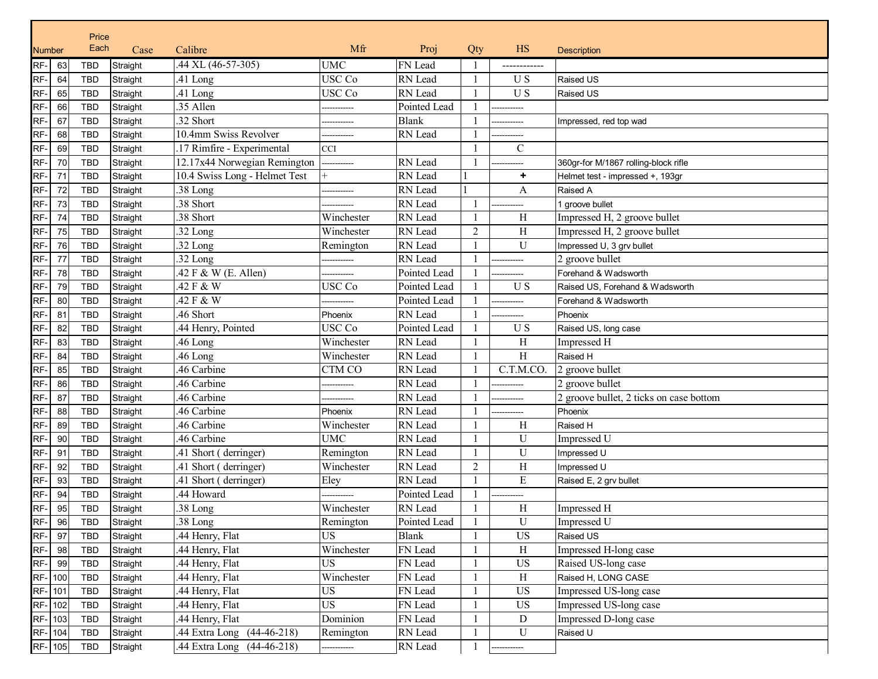| Price         |         |            |          |                               |             |              |                |               |                                         |
|---------------|---------|------------|----------|-------------------------------|-------------|--------------|----------------|---------------|-----------------------------------------|
| <b>Number</b> |         | Each       | Case     | Calibre                       | Mfr         | Proj         | Qty            | <b>HS</b>     | <b>Description</b>                      |
| RF-           | 63      | TBD        | Straight | .44 XL (46-57-305)            | <b>UMC</b>  | FN Lead      |                | -----------   |                                         |
| RF-           | 64      | TBD        | Straight | .41 Long                      | USC Co      | RN Lead      |                | $\mathbf U$ S | <b>Raised US</b>                        |
| RF-           | 65      | <b>TBD</b> | Straight | .41 Long                      | USC Co      | RN Lead      |                | U S           | Raised US                               |
| RF-           | 66      | TBD        | Straight | .35 Allen                     |             | Pointed Lead |                | ----------    |                                         |
| RF-           | 67      | <b>TBD</b> | Straight | .32 Short                     |             | <b>Blank</b> |                |               | Impressed, red top wad                  |
| RF-           | 68      | <b>TBD</b> | Straight | 10.4mm Swiss Revolver         |             | RN Lead      |                |               |                                         |
| RF-           | 69      | <b>TBD</b> | Straight | 17 Rimfire - Experimental     | CCI         |              |                | $\mathbf C$   |                                         |
| RF-           | 70      | <b>TBD</b> | Straight | 12.17x44 Norwegian Remington  | ----------- | RN Lead      |                |               | 360gr-for M/1867 rolling-block rifle    |
| RF-           | 71      | <b>TBD</b> | Straight | 10.4 Swiss Long - Helmet Test |             | RN Lead      |                | ٠             | Helmet test - impressed +, 193gr        |
| RF-           | 72      | <b>TBD</b> | Straight | .38 Long                      | ----------  | RN Lead      |                | A             | Raised A                                |
| RF-           | 73      | <b>TBD</b> | Straight | .38 Short                     |             | RN Lead      |                |               | 1 groove bullet                         |
| RF-           | 74      | <b>TBD</b> | Straight | .38 Short                     | Winchester  | RN Lead      |                | H             | Impressed H, 2 groove bullet            |
| RF-           | 75      | <b>TBD</b> | Straight | .32 Long                      | Winchester  | RN Lead      | $\overline{2}$ | H             | Impressed H, 2 groove bullet            |
| RF-           | 76      | <b>TBD</b> | Straight | .32 Long                      | Remington   | RN Lead      |                | U             | Impressed U, 3 grv bullet               |
| RF-           | 77      | <b>TBD</b> | Straight | .32 Long                      |             | RN Lead      |                |               | 2 groove bullet                         |
| RF-           | 78      | <b>TBD</b> | Straight | .42 F & W (E. Allen)          |             | Pointed Lead |                |               | Forehand & Wadsworth                    |
| RF-           | 79      | <b>TBD</b> | Straight | .42 F & W                     | USC Co      | Pointed Lead |                | U S           | Raised US, Forehand & Wadsworth         |
| RF-           | 80      | <b>TBD</b> | Straight | 42 F & W                      |             | Pointed Lead |                |               | Forehand & Wadsworth                    |
| RF-           | 81      | <b>TBD</b> | Straight | .46 Short                     | Phoenix     | RN Lead      |                |               | Phoenix                                 |
| RF-           | 82      | <b>TBD</b> | Straight | .44 Henry, Pointed            | USC Co      | Pointed Lead |                | U S           | Raised US, long case                    |
| RF-           | 83      | <b>TBD</b> | Straight | .46 Long                      | Winchester  | RN Lead      |                | H             | Impressed H                             |
| RF-           | 84      | <b>TBD</b> | Straight | .46 Long                      | Winchester  | RN Lead      |                | H             | Raised H                                |
| RF-           | 85      | <b>TBD</b> | Straight | .46 Carbine                   | CTM CO      | RN Lead      |                | C.T.M.CO.     | 2 groove bullet                         |
| RF-           | 86      | <b>TBD</b> | Straight | .46 Carbine                   | ----------  | RN Lead      |                |               | 2 groove bullet                         |
| RF-           | 87      | <b>TBD</b> | Straight | .46 Carbine                   |             | RN Lead      |                |               | 2 groove bullet, 2 ticks on case bottom |
| RF-           | 88      | <b>TBD</b> | Straight | .46 Carbine                   | Phoenix     | RN Lead      |                |               | Phoenix                                 |
| RF-           | 89      | TBD        | Straight | .46 Carbine                   | Winchester  | RN Lead      |                | H             | Raised H                                |
| RF-           | 90      | <b>TBD</b> | Straight | .46 Carbine                   | <b>UMC</b>  | RN Lead      |                | U             | Impressed U                             |
| RF-           | 91      | TBD        | Straight | .41 Short (derringer)         | Remington   | RN Lead      |                | U             | Impressed U                             |
| RF-           | 92      | <b>TBD</b> | Straight | .41 Short (derringer)         | Winchester  | RN Lead      | $\overline{c}$ | $\rm H$       | Impressed U                             |
| RF-           | 93      | <b>TBD</b> | Straight | .41 Short (derringer)         | Eley        | RN Lead      |                | ${\bf E}$     | Raised E, 2 grv bullet                  |
| RF-           | 94      | <b>TBD</b> | Straight | 44 Howard                     |             | Pointed Lead |                |               |                                         |
| RF-           | 95      | TBD        | Straight | .38 Long                      | Winchester  | RN Lead      |                | H             | Impressed H                             |
| RF-           | 96      | TBD        | Straight | .38 Long                      | Remington   | Pointed Lead |                | U             | Impressed U                             |
| RF-           | 97      | TBD        | Straight | 44 Henry, Flat                | <b>US</b>   | <b>Blank</b> |                | <b>US</b>     | Raised US                               |
| RF-           | 98      | TBD        | Straight | .44 Henry, Flat               | Winchester  | FN Lead      |                | $\rm H$       | Impressed H-long case                   |
| RF-           | 99      | <b>TBD</b> | Straight | .44 Henry, Flat               | US          | FN Lead      |                | <b>US</b>     | Raised US-long case                     |
|               | RF- 100 | TBD        | Straight | .44 Henry, Flat               | Winchester  | FN Lead      |                | $\rm H$       | Raised H, LONG CASE                     |
|               | RF- 101 | TBD        | Straight | .44 Henry, Flat               | <b>US</b>   | FN Lead      |                | <b>US</b>     | Impressed US-long case                  |
|               | RF-102  | TBD        | Straight | .44 Henry, Flat               | <b>US</b>   | FN Lead      |                | <b>US</b>     | Impressed US-long case                  |
|               | RF- 103 | TBD        | Straight | .44 Henry, Flat               | Dominion    | FN Lead      |                | ${\rm D}$     | Impressed D-long case                   |
|               | RF- 104 | TBD        | Straight | .44 Extra Long (44-46-218)    | Remington   | RN Lead      |                | ${\bf U}$     | Raised U                                |
|               | RF- 105 | TBD        | Straight | 44 Extra Long (44-46-218)     | ---------   | RN Lead      |                | ------        |                                         |